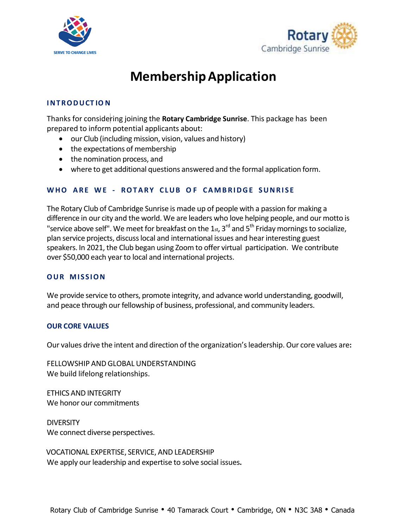



# **MembershipApplication**

## **INTRODUCT IO N**

Thanks for considering joining the **Rotary Cambridge Sunrise**. This package has been prepared to inform potential applicants about:

- our Club (including mission, vision, values and history)
- the expectations of membership
- the nomination process, and
- where to get additional questions answered and the formal application form.

## **WHO ARE WE - ROTARY CLUB O F CAMBRIDGE SUNRI S E**

The Rotary Club of Cambridge Sunrise is made up of people with a passion for making a difference in our city and the world. We are leaders who love helping people, and our motto is "service above self". We meet for breakfast on the 1 $_{\text{st}}$ , 3<sup>rd</sup> and 5<sup>th</sup> Friday mornings to socialize, plan service projects, discuss local and international issues and hear interesting guest speakers. In 2021, the Club began using Zoom to offer virtual participation. We contribute over \$50,000 each yearto local and international projects.

#### **OUR MI S SION**

We provide service to others, promote integrity, and advance world understanding, goodwill, and peace through our fellowship of business, professional, and community leaders.

#### **OUR CORE VALUES**

Our values drive the intent and direction of the organization'sleadership.Our core values are**:**

FELLOWSHIP AND GLOBAL UNDERSTANDING We build lifelong relationships.

ETHICS AND INTEGRITY We honor our commitments

**DIVERSITY** We connect diverse perspectives.

VOCATIONAL EXPERTISE, SERVICE, AND LEADERSHIP We apply our leadership and expertise to solve social issues.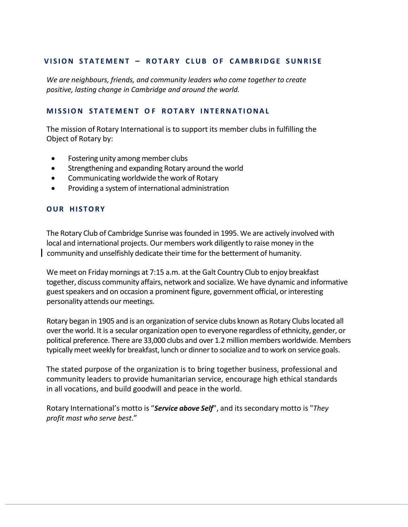#### **V I S ION S TA T E MENT – ROT A RY C LUB OF CA MB RIDGE SUNRI S E**

*We are neighbours, friends, and community leaders who come together to create positive, lasting change in Cambridge and around the world.*

#### **MI S S ION STAT E MENT O F ROTA R Y INT E RNAT IONA L**

The mission of Rotary International is to support its member clubs in fulfilling the Object of Rotary by:

- Fostering unity among member clubs
- Strengthening and expanding Rotary around the world
- Communicating worldwide the work of Rotary
- Providing a system of international administration

#### **OUR HI STORY**

The Rotary Club of Cambridge Sunrise wasfounded in 1995. We are actively involved with local and international projects. Our members work diligently to raise money in the community and unselfishly dedicate theirtime forthe betterment of humanity.

We meet on Friday mornings at 7:15 a.m. at the Galt Country Club to enjoy breakfast together, discuss community affairs, network and socialize. We have dynamic and informative guest speakers and on occasion a prominent figure, government official, or interesting personality attends our meetings.

Rotary began in 1905 and is an organization of service clubs known as Rotary Clubs located all overthe world. It is a secular organization open to everyone regardless of ethnicity, gender, or political preference. There are 33,000 clubs and over 1.2 million members worldwide. Members typicallymeet weekly for breakfast, lunch or dinnerto socialize and to work on service goals.

The stated purpose of the organization is to bring together business, professional and community leaders to provide humanitarian service, encourage high ethical standards in all vocations, and build goodwill and peace in the world.

Rotary International's motto is "*Service above Self*", and its secondary motto is "*They profit most who serve best*."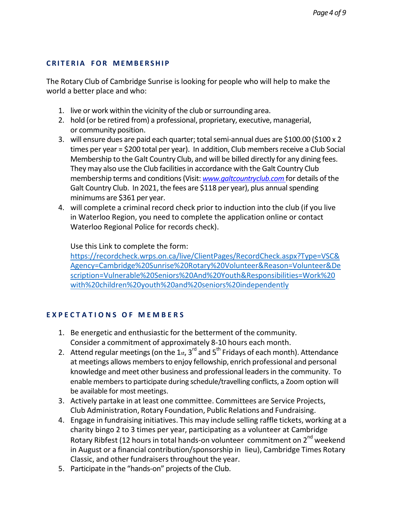## **C RI T E RIA FOR MEMB E RSHI P**

The Rotary Club of Cambridge Sunrise is looking for people who will help to make the world a better place and who:

- 1. live or work within the vicinity of the club or surrounding area.
- 2. hold (or be retired from) a professional, proprietary, executive, managerial, or community position.
- 3. will ensure dues are paid each quarter; total semi-annual dues are  $$100.00$  ( $$100 \times 2$ ) times per year = \$200 total per year). In addition, Club members receive a Club Social Membership to the Galt Country Club, and will be billed directly for any dining fees. They may also use the Club facilities in accordance with the Galt Country Club membership terms and conditions(Visit: *www.galtcountryclub.com* for details of the Galt Country Club. In 2021, the fees are \$118 per year), plus annual spending minimums are \$361 per year.
- 4. will complete a criminal record check prior to induction into the club (if you live in Waterloo Region, you need to complete the application online or contact Waterloo Regional Police for records check).

Use this Link to complete the form:

[https://recordcheck.wrps.on.ca/live/ClientPages/RecordCheck.aspx?Type=VSC&](https://recordcheck.wrps.on.ca/live/ClientPages/RecordCheck.aspx?Type=VSC&Agency=Cambridge%20Sunrise%20Rotary%20Volunteer&Reason=Volunteer&Description=Vulnerable%20Seniors%20And%20Youth&Responsibilities=Work%20with%20children%20youth%20and%20seniors%20independently) [Agency=Cambridge%20Sunrise%20Rotary%20Volunteer&Reason=Volunteer&De](https://recordcheck.wrps.on.ca/live/ClientPages/RecordCheck.aspx?Type=VSC&Agency=Cambridge%20Sunrise%20Rotary%20Volunteer&Reason=Volunteer&Description=Vulnerable%20Seniors%20And%20Youth&Responsibilities=Work%20with%20children%20youth%20and%20seniors%20independently) [scription=Vulnerable%20Seniors%20And%20Youth&Responsibilities=Work%20](https://recordcheck.wrps.on.ca/live/ClientPages/RecordCheck.aspx?Type=VSC&Agency=Cambridge%20Sunrise%20Rotary%20Volunteer&Reason=Volunteer&Description=Vulnerable%20Seniors%20And%20Youth&Responsibilities=Work%20with%20children%20youth%20and%20seniors%20independently) [with%20children%20youth%20and%20seniors%20independently](https://recordcheck.wrps.on.ca/live/ClientPages/RecordCheck.aspx?Type=VSC&Agency=Cambridge%20Sunrise%20Rotary%20Volunteer&Reason=Volunteer&Description=Vulnerable%20Seniors%20And%20Youth&Responsibilities=Work%20with%20children%20youth%20and%20seniors%20independently)

## **E X P E C T A T I O N S O F M E M B E R S**

- 1. Be energetic and enthusiastic for the betterment of the community. Consider a commitment of approximately 8-10 hours each month.
- 2. Attend regular meetings (on the 1st, 3 $^{\text{rd}}$  and 5<sup>th</sup> Fridays of each month). Attendance at meetings allows members to enjoy fellowship, enrich professional and personal knowledge and meet other business and professional leaders in the community. To enable membersto participate during schedule/travelling conflicts, a Zoom option will be available for most meetings.
- 3. Actively partake in at least one committee. Committees are Service Projects, Club Administration, Rotary Foundation, Public Relations and Fundraising.
- 4. Engage in fundraising initiatives. This may include selling raffle tickets, working at a charity bingo 2 to 3 times per year, participating as a volunteer at Cambridge Rotary Ribfest (12 hours in total hands-on volunteer commitment on 2<sup>nd</sup> weekend in August or a financial contribution/sponsorship in lieu), Cambridge Times Rotary Classic, and other fundraisers throughout the year.
- 5. Participate in the "hands-on" projects of the Club.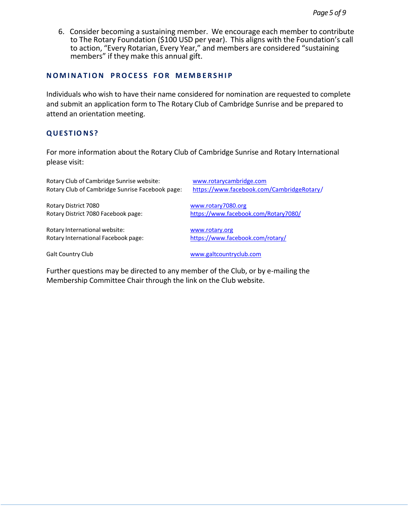6. Consider becoming a sustaining member. We encourage each member to contribute to The Rotary Foundation (\$100 USD per year). This aligns with the Foundation's call to action, "Every Rotarian, Every Year," and members are considered "sustaining members" if they make this annual gift.

#### **NOMINA T ION PROC E S S FOR M E MB E RSHI P**

Individuals who wish to have their name considered for nomination are requested to complete and submit an application form to The Rotary Club of Cambridge Sunrise and be prepared to attend an orientation meeting.

## **QUE ST IO NS?**

For more information about the Rotary Club of Cambridge Sunrise and Rotary International please visit:

Rotary Club of Cambridge Sunrise website: [www.rotarycambridge.com](http://www.rotarycambridge.com/) Rotary Club of Cambridge Sunrise Facebook page: <https://www.facebook.com/CambridgeRotary/>

Rotary District 7080 [www.rotary7080.org](http://www.rotary7080.org/)

Rotary International website:<br>
Rotary International Facebook page: https://www.facebook.com/rotary/ Rotary International Facebook page:

Rotary District 7080 Facebook page: <https://www.facebook.com/Rotary7080/>

Galt Country Club **[www.galtcountryclub.com](http://www.galtcountryclub.com/)** 

Further questions may be directed to any member of the Club, or by e-mailing the Membership Committee Chair through the link on the Club website.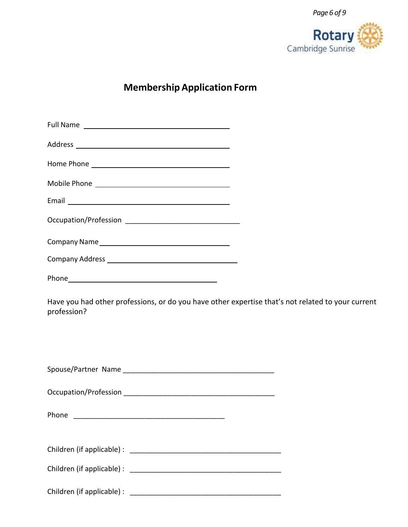

## **Membership Application Form**

| Have you had other professions, or do you have other expertise that's not related to your current<br>profession? |  |
|------------------------------------------------------------------------------------------------------------------|--|
|                                                                                                                  |  |
|                                                                                                                  |  |
|                                                                                                                  |  |
|                                                                                                                  |  |
|                                                                                                                  |  |
|                                                                                                                  |  |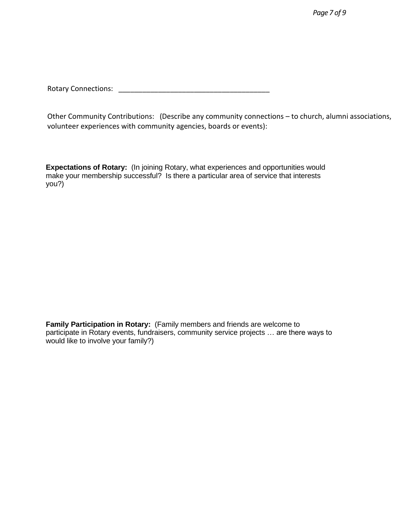Rotary Connections: **Example 2018** 

Other Community Contributions: (Describe any community connections – to church, alumni associations, volunteer experiences with community agencies, boards or events):

**Expectations of Rotary:** (In joining Rotary, what experiences and opportunities would make your membership successful? Is there a particular area of service that interests you?)

**Family Participation in Rotary:** (Family members and friends are welcome to participate in Rotary events, fundraisers, community service projects … are there ways to would like to involve your family?)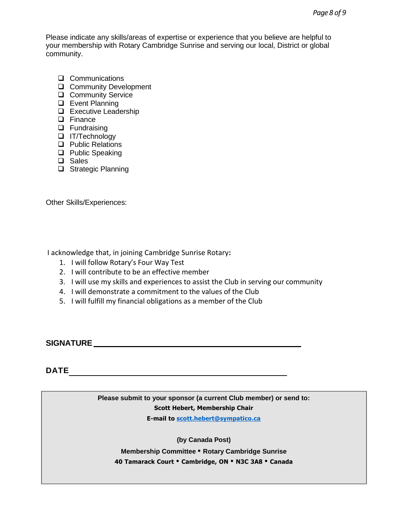Please indicate any skills/areas of expertise or experience that you believe are helpful to your membership with Rotary Cambridge Sunrise and serving our local, District or global community.

- ❑ Communications
- ❑ Community Development
- ❑ Community Service
- ❑ Event Planning
- ❑ Executive Leadership
- ❑ Finance
- ❑ Fundraising
- ❑ IT/Technology
- ❑ Public Relations
- ❑ Public Speaking
- ❑ Sales
- ❑ Strategic Planning

Other Skills/Experiences:

I acknowledge that, in joining Cambridge Sunrise Rotary**:**

- 1. I will follow Rotary's Four Way Test
- 2. I will contribute to be an effective member
- 3. I will use my skills and experiences to assist the Club in serving our community
- 4. I will demonstrate a commitment to the values of the Club
- 5. I will fulfill my financial obligations as a member of the Club

**SIGNATURE**

## **DATE**

**Please submit to your sponsor (a current Club member) or send to: Scott Hebert, Membership Chair E-mail to [scott.hebert@sympatico.ca](mailto:scott.hebert@sympatico.ca)**

**(by Canada Post)**

**Membership Committee • Rotary Cambridge Sunrise 40 Tamarack Court • Cambridge, ON • N3C 3A8 • Canada**